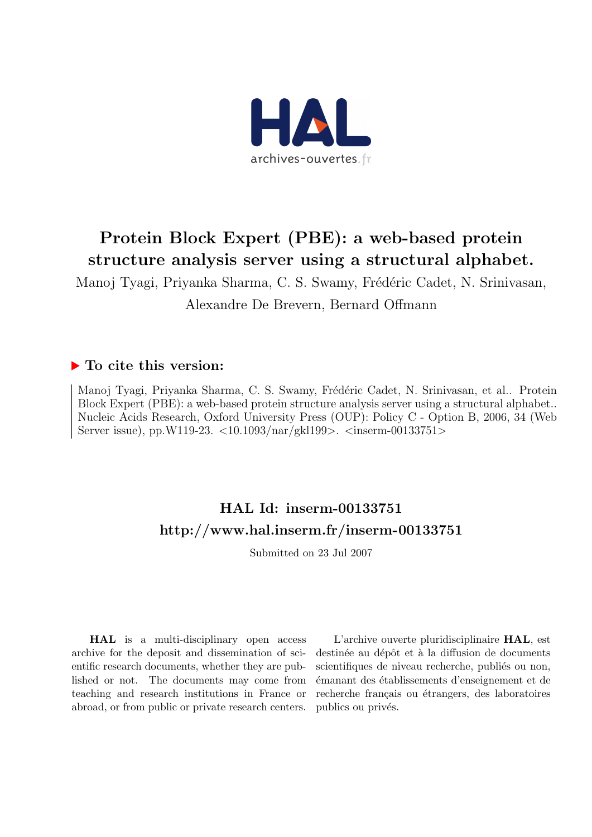

### Protein Block Expert (PBE): a web-based protein structure analysis server using a structural alphabet.

Manoj Tyagi, Priyanka Sharma, C. S. Swamy, Frédéric Cadet, N. Srinivasan, Alexandre De Brevern, Bernard Offmann

### ▶ To cite this version:

Manoj Tyagi, Priyanka Sharma, C. S. Swamy, Frédéric Cadet, N. Srinivasan, et al.. Protein Block Expert (PBE): a web-based protein structure analysis server using a structural alphabet.. Nucleic Acids Research, Oxford University Press (OUP): Policy C - Option B, 2006, 34 (Web Server issue), pp.W119-23. <10.1093/nar/gkl199>. <inserm-00133751>

### HAL Id: inserm-00133751 <http://www.hal.inserm.fr/inserm-00133751>

Submitted on 23 Jul 2007

HAL is a multi-disciplinary open access archive for the deposit and dissemination of scientific research documents, whether they are published or not. The documents may come from teaching and research institutions in France or abroad, or from public or private research centers.

L'archive ouverte pluridisciplinaire HAL, est destinée au dépôt et à la diffusion de documents scientifiques de niveau recherche, publiés ou non, ´emanant des ´etablissements d'enseignement et de recherche français ou étrangers, des laboratoires publics ou privés.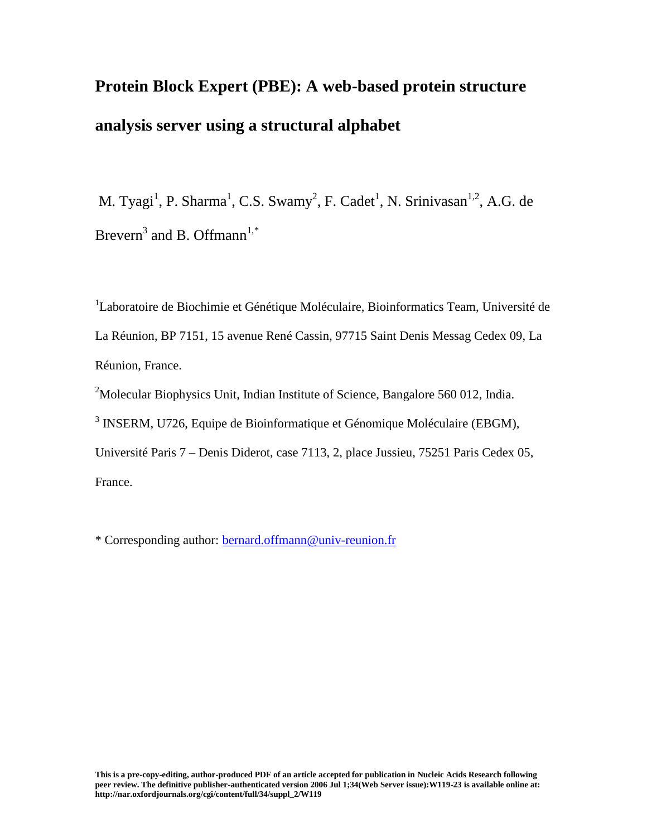# **Protein Block Expert (PBE): A web-based protein structure analysis server using a structural alphabet**

M. Tyagi<sup>1</sup>, P. Sharma<sup>1</sup>, C.S. Swamy<sup>2</sup>, F. Cadet<sup>1</sup>, N. Srinivasan<sup>1,2</sup>, A.G. de Brevern<sup>3</sup> and B. Offmann<sup>1,\*</sup>

<sup>1</sup>Laboratoire de Biochimie et Génétique Moléculaire, Bioinformatics Team, Université de La Réunion, BP 7151, 15 avenue René Cassin, 97715 Saint Denis Messag Cedex 09, La Réunion, France.

<sup>2</sup>Molecular Biophysics Unit, Indian Institute of Science, Bangalore 560 012, India.

<sup>3</sup> INSERM, U726, Equipe de Bioinformatique et Génomique Moléculaire (EBGM),

Université Paris 7 – Denis Diderot, case 7113, 2, place Jussieu, 75251 Paris Cedex 05, France.

\* Corresponding author: [bernard.offmann@univ-reunion.fr](mailto:bernard.offmann@univ-reunion.fr)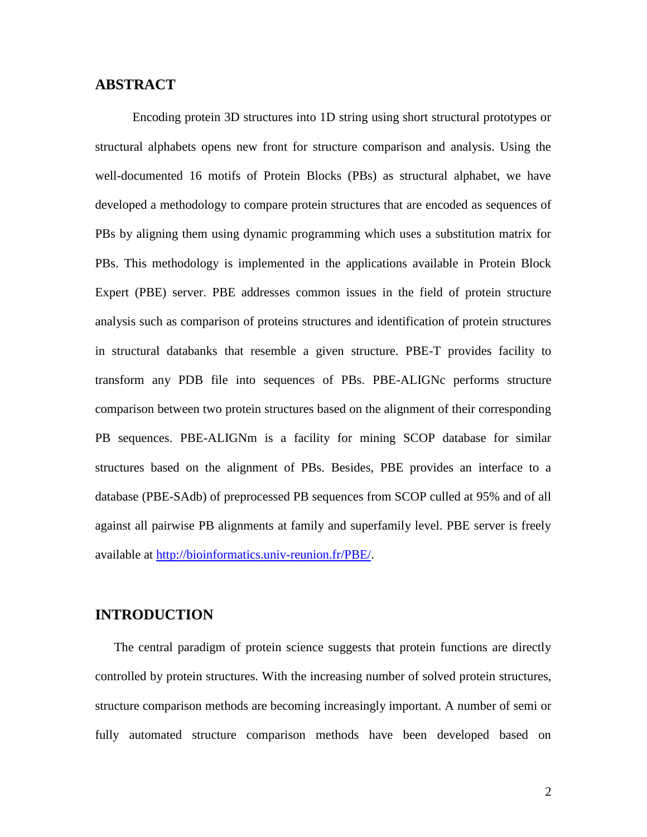#### **ABSTRACT**

Encoding protein 3D structures into 1D string using short structural prototypes or structural alphabets opens new front for structure comparison and analysis. Using the well-documented 16 motifs of Protein Blocks (PBs) as structural alphabet, we have developed a methodology to compare protein structures that are encoded as sequences of PBs by aligning them using dynamic programming which uses a substitution matrix for PBs. This methodology is implemented in the applications available in Protein Block Expert (PBE) server. PBE addresses common issues in the field of protein structure analysis such as comparison of proteins structures and identification of protein structures in structural databanks that resemble a given structure. PBE-T provides facility to transform any PDB file into sequences of PBs. PBE-ALIGNc performs structure comparison between two protein structures based on the alignment of their corresponding PB sequences. PBE-ALIGNm is a facility for mining SCOP database for similar structures based on the alignment of PBs. Besides, PBE provides an interface to a database (PBE-SAdb) of preprocessed PB sequences from SCOP culled at 95% and of all against all pairwise PB alignments at family and superfamily level. PBE server is freely available at [http://bioinformatics.univ-reunion.fr/PBE/.](http://bioinformatics.univ-reunion.fr/PBE/)

#### **INTRODUCTION**

The central paradigm of protein science suggests that protein functions are directly controlled by protein structures. With the increasing number of solved protein structures, structure comparison methods are becoming increasingly important. A number of semi or fully automated structure comparison methods have been developed based on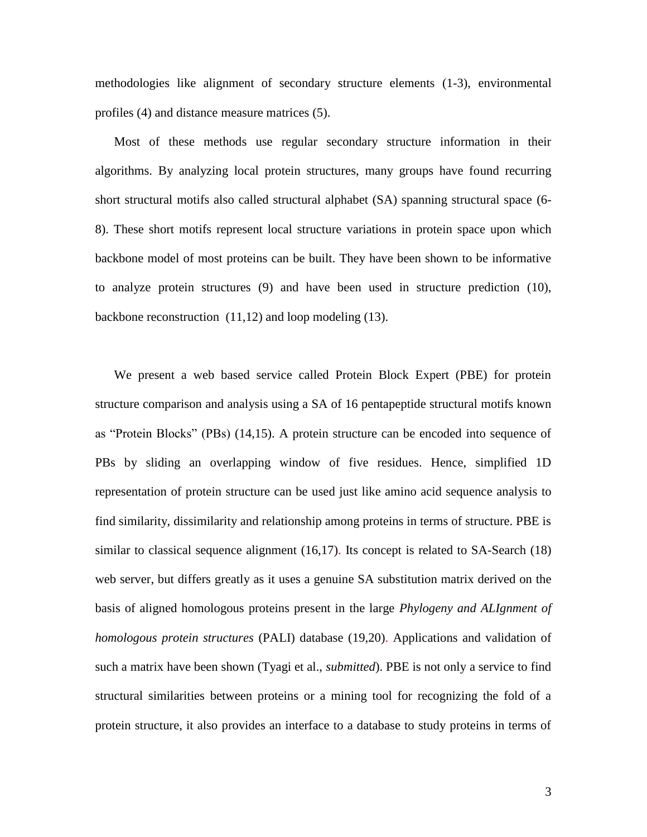methodologies like alignment of secondary structure elements (1-3), environmental profiles (4) and distance measure matrices (5).

Most of these methods use regular secondary structure information in their algorithms. By analyzing local protein structures, many groups have found recurring short structural motifs also called structural alphabet (SA) spanning structural space (6- 8). These short motifs represent local structure variations in protein space upon which backbone model of most proteins can be built. They have been shown to be informative to analyze protein structures (9) and have been used in structure prediction (10), backbone reconstruction (11,12) and loop modeling (13).

We present a web based service called Protein Block Expert (PBE) for protein structure comparison and analysis using a SA of 16 pentapeptide structural motifs known as "Protein Blocks" (PBs) (14,15). A protein structure can be encoded into sequence of PBs by sliding an overlapping window of five residues. Hence, simplified 1D representation of protein structure can be used just like amino acid sequence analysis to find similarity, dissimilarity and relationship among proteins in terms of structure. PBE is similar to classical sequence alignment (16,17). Its concept is related to SA-Search (18) web server, but differs greatly as it uses a genuine SA substitution matrix derived on the basis of aligned homologous proteins present in the large *Phylogeny and ALIgnment of homologous protein structures* (PALI) database (19,20). Applications and validation of such a matrix have been shown (Tyagi et al., *submitted*). PBE is not only a service to find structural similarities between proteins or a mining tool for recognizing the fold of a protein structure, it also provides an interface to a database to study proteins in terms of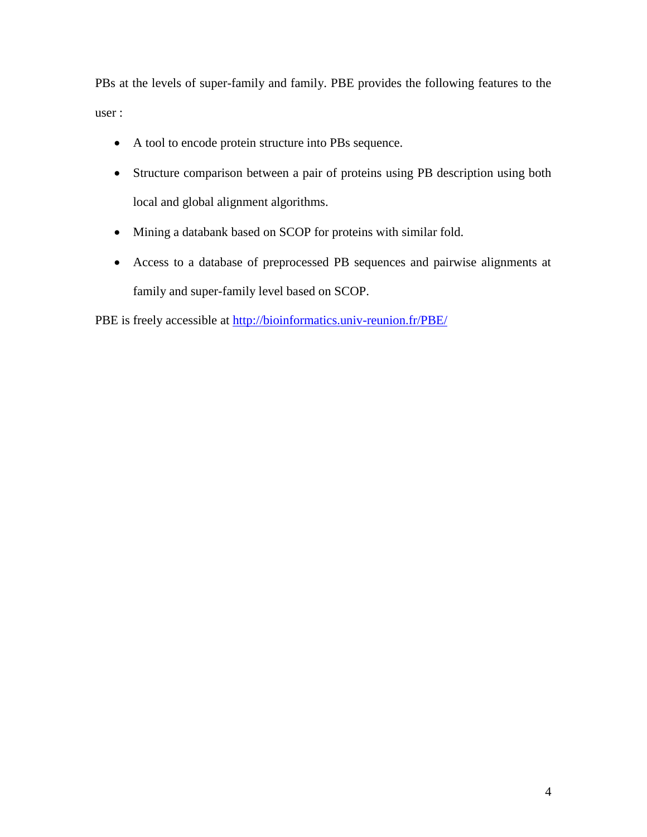PBs at the levels of super-family and family. PBE provides the following features to the user :

- A tool to encode protein structure into PBs sequence.
- Structure comparison between a pair of proteins using PB description using both local and global alignment algorithms.
- Mining a databank based on SCOP for proteins with similar fold.
- Access to a database of preprocessed PB sequences and pairwise alignments at family and super-family level based on SCOP.

PBE is freely accessible at<http://bioinformatics.univ-reunion.fr/PBE/>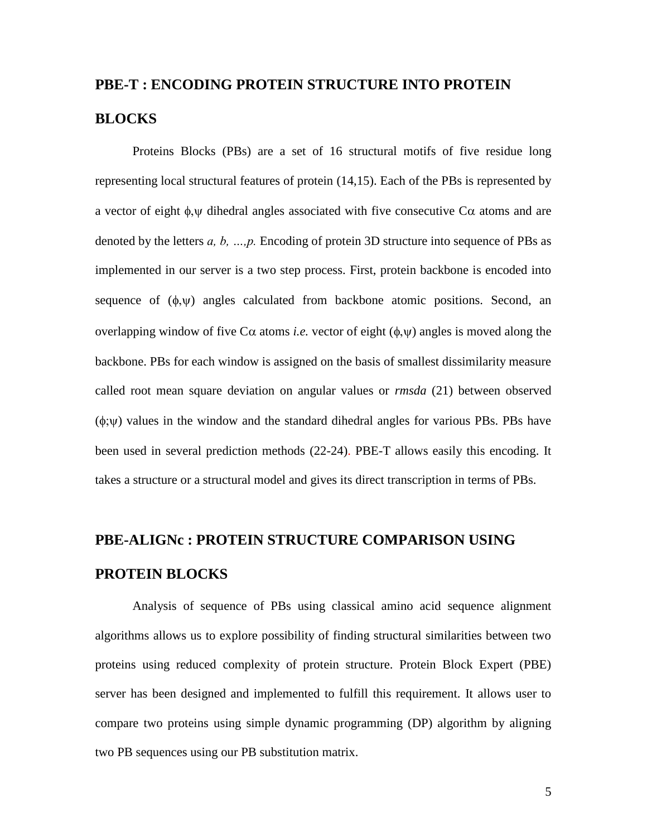## **PBE-T : ENCODING PROTEIN STRUCTURE INTO PROTEIN BLOCKS**

Proteins Blocks (PBs) are a set of 16 structural motifs of five residue long representing local structural features of protein (14,15). Each of the PBs is represented by a vector of eight  $\phi$ , w dihedral angles associated with five consecutive C $\alpha$  atoms and are denoted by the letters *a, b, …,p.* Encoding of protein 3D structure into sequence of PBs as implemented in our server is a two step process. First, protein backbone is encoded into sequence of  $(\phi, \psi)$  angles calculated from backbone atomic positions. Second, an overlapping window of five C $\alpha$  atoms *i.e.* vector of eight  $(\phi, \psi)$  angles is moved along the backbone. PBs for each window is assigned on the basis of smallest dissimilarity measure called root mean square deviation on angular values or *rmsda* (21) between observed  $(\phi, \psi)$  values in the window and the standard dihedral angles for various PBs. PBs have been used in several prediction methods (22-24). PBE-T allows easily this encoding. It takes a structure or a structural model and gives its direct transcription in terms of PBs.

## **PBE-ALIGNc : PROTEIN STRUCTURE COMPARISON USING PROTEIN BLOCKS**

Analysis of sequence of PBs using classical amino acid sequence alignment algorithms allows us to explore possibility of finding structural similarities between two proteins using reduced complexity of protein structure. Protein Block Expert (PBE) server has been designed and implemented to fulfill this requirement. It allows user to compare two proteins using simple dynamic programming (DP) algorithm by aligning two PB sequences using our PB substitution matrix.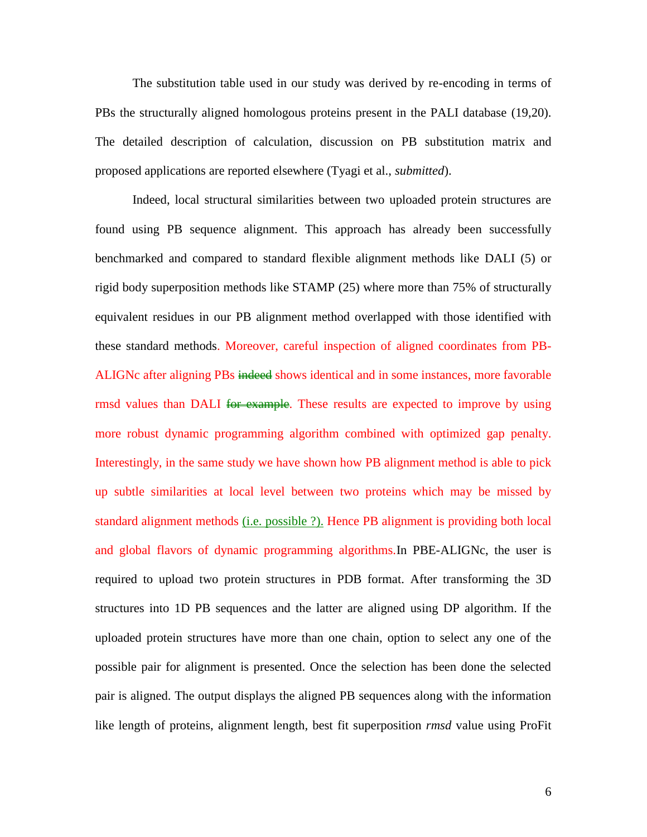The substitution table used in our study was derived by re-encoding in terms of PBs the structurally aligned homologous proteins present in the PALI database (19,20). The detailed description of calculation, discussion on PB substitution matrix and proposed applications are reported elsewhere (Tyagi et al., *submitted*).

Indeed, local structural similarities between two uploaded protein structures are found using PB sequence alignment. This approach has already been successfully benchmarked and compared to standard flexible alignment methods like DALI (5) or rigid body superposition methods like STAMP (25) where more than 75% of structurally equivalent residues in our PB alignment method overlapped with those identified with these standard methods. Moreover, careful inspection of aligned coordinates from PB-ALIGNc after aligning PBs indeed shows identical and in some instances, more favorable rmsd values than DALI for example. These results are expected to improve by using more robust dynamic programming algorithm combined with optimized gap penalty. Interestingly, in the same study we have shown how PB alignment method is able to pick up subtle similarities at local level between two proteins which may be missed by standard alignment methods (i.e. possible ?). Hence PB alignment is providing both local and global flavors of dynamic programming algorithms.In PBE-ALIGNc, the user is required to upload two protein structures in PDB format. After transforming the 3D structures into 1D PB sequences and the latter are aligned using DP algorithm. If the uploaded protein structures have more than one chain, option to select any one of the possible pair for alignment is presented. Once the selection has been done the selected pair is aligned. The output displays the aligned PB sequences along with the information like length of proteins, alignment length, best fit superposition *rmsd* value using ProFit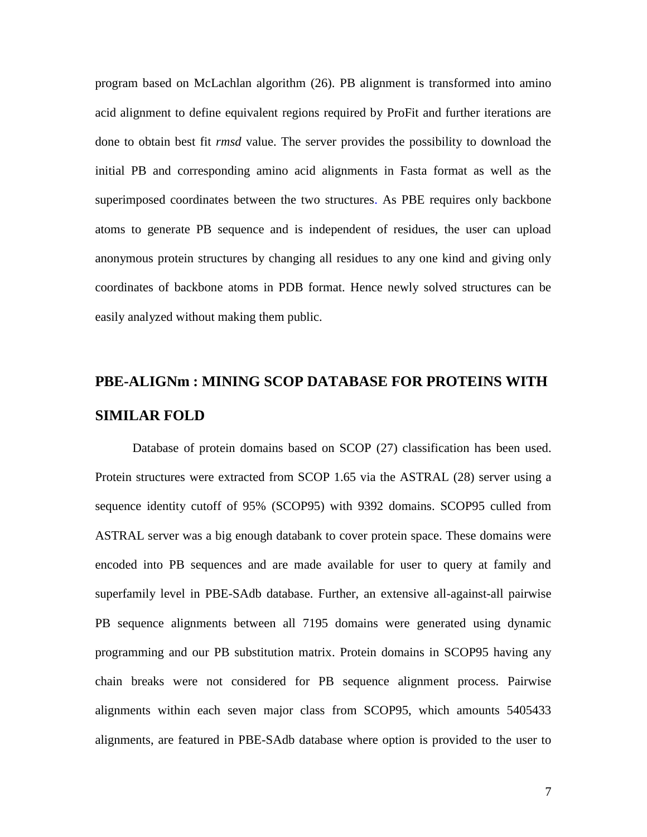program based on McLachlan algorithm (26). PB alignment is transformed into amino acid alignment to define equivalent regions required by ProFit and further iterations are done to obtain best fit *rmsd* value. The server provides the possibility to download the initial PB and corresponding amino acid alignments in Fasta format as well as the superimposed coordinates between the two structures. As PBE requires only backbone atoms to generate PB sequence and is independent of residues, the user can upload anonymous protein structures by changing all residues to any one kind and giving only coordinates of backbone atoms in PDB format. Hence newly solved structures can be easily analyzed without making them public.

## **PBE-ALIGNm : MINING SCOP DATABASE FOR PROTEINS WITH SIMILAR FOLD**

Database of protein domains based on SCOP (27) classification has been used. Protein structures were extracted from SCOP 1.65 via the ASTRAL (28) server using a sequence identity cutoff of 95% (SCOP95) with 9392 domains. SCOP95 culled from ASTRAL server was a big enough databank to cover protein space. These domains were encoded into PB sequences and are made available for user to query at family and superfamily level in PBE-SAdb database. Further, an extensive all-against-all pairwise PB sequence alignments between all 7195 domains were generated using dynamic programming and our PB substitution matrix. Protein domains in SCOP95 having any chain breaks were not considered for PB sequence alignment process. Pairwise alignments within each seven major class from SCOP95, which amounts 5405433 alignments, are featured in PBE-SAdb database where option is provided to the user to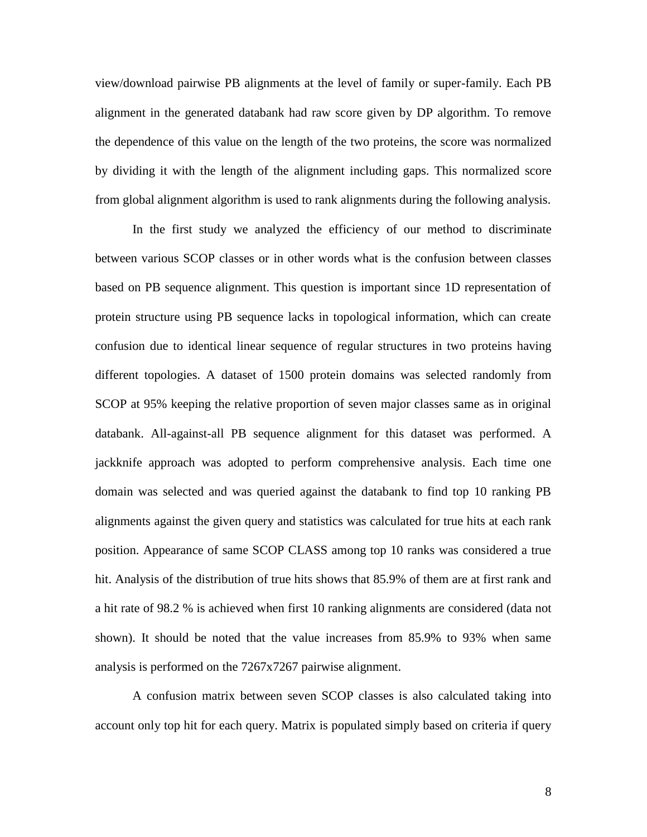view/download pairwise PB alignments at the level of family or super-family. Each PB alignment in the generated databank had raw score given by DP algorithm. To remove the dependence of this value on the length of the two proteins, the score was normalized by dividing it with the length of the alignment including gaps. This normalized score from global alignment algorithm is used to rank alignments during the following analysis.

In the first study we analyzed the efficiency of our method to discriminate between various SCOP classes or in other words what is the confusion between classes based on PB sequence alignment. This question is important since 1D representation of protein structure using PB sequence lacks in topological information, which can create confusion due to identical linear sequence of regular structures in two proteins having different topologies. A dataset of 1500 protein domains was selected randomly from SCOP at 95% keeping the relative proportion of seven major classes same as in original databank. All-against-all PB sequence alignment for this dataset was performed. A jackknife approach was adopted to perform comprehensive analysis. Each time one domain was selected and was queried against the databank to find top 10 ranking PB alignments against the given query and statistics was calculated for true hits at each rank position. Appearance of same SCOP CLASS among top 10 ranks was considered a true hit. Analysis of the distribution of true hits shows that 85.9% of them are at first rank and a hit rate of 98.2 % is achieved when first 10 ranking alignments are considered (data not shown). It should be noted that the value increases from 85.9% to 93% when same analysis is performed on the 7267x7267 pairwise alignment.

A confusion matrix between seven SCOP classes is also calculated taking into account only top hit for each query. Matrix is populated simply based on criteria if query

8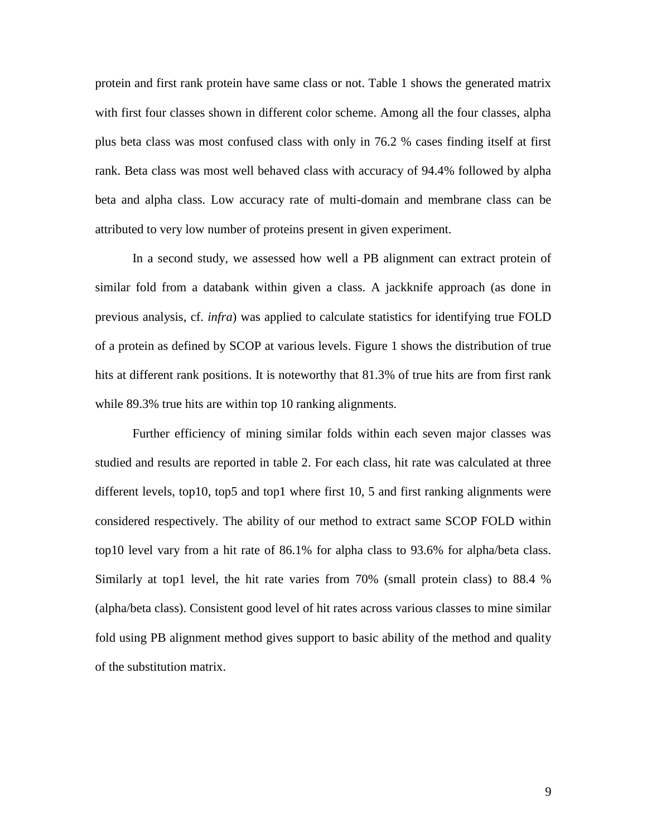protein and first rank protein have same class or not. Table 1 shows the generated matrix with first four classes shown in different color scheme. Among all the four classes, alpha plus beta class was most confused class with only in 76.2 % cases finding itself at first rank. Beta class was most well behaved class with accuracy of 94.4% followed by alpha beta and alpha class. Low accuracy rate of multi-domain and membrane class can be attributed to very low number of proteins present in given experiment.

In a second study, we assessed how well a PB alignment can extract protein of similar fold from a databank within given a class. A jackknife approach (as done in previous analysis, cf. *infra*) was applied to calculate statistics for identifying true FOLD of a protein as defined by SCOP at various levels. Figure 1 shows the distribution of true hits at different rank positions. It is noteworthy that 81.3% of true hits are from first rank while 89.3% true hits are within top 10 ranking alignments.

Further efficiency of mining similar folds within each seven major classes was studied and results are reported in table 2. For each class, hit rate was calculated at three different levels, top10, top5 and top1 where first 10, 5 and first ranking alignments were considered respectively. The ability of our method to extract same SCOP FOLD within top10 level vary from a hit rate of 86.1% for alpha class to 93.6% for alpha/beta class. Similarly at top1 level, the hit rate varies from 70% (small protein class) to 88.4 % (alpha/beta class). Consistent good level of hit rates across various classes to mine similar fold using PB alignment method gives support to basic ability of the method and quality of the substitution matrix.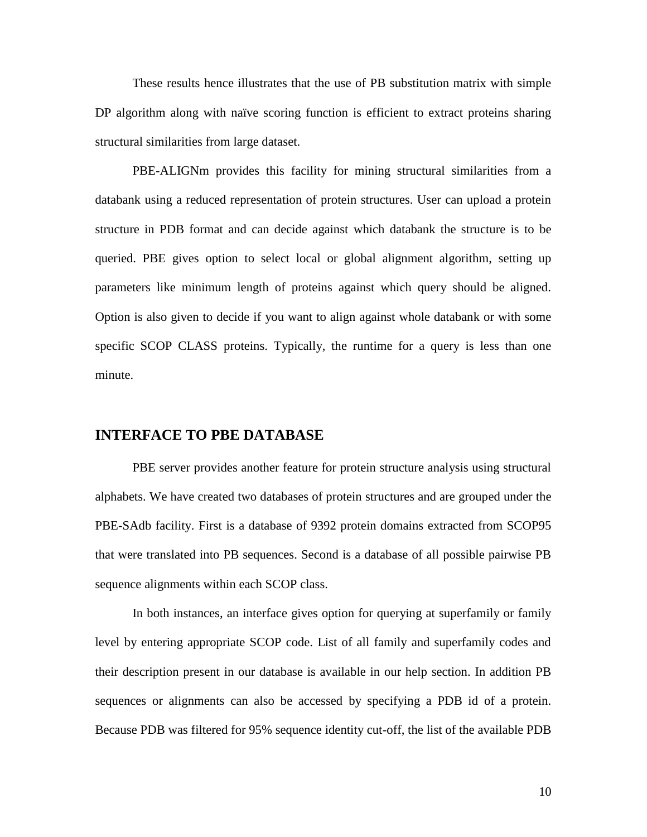These results hence illustrates that the use of PB substitution matrix with simple DP algorithm along with naïve scoring function is efficient to extract proteins sharing structural similarities from large dataset.

PBE-ALIGNm provides this facility for mining structural similarities from a databank using a reduced representation of protein structures. User can upload a protein structure in PDB format and can decide against which databank the structure is to be queried. PBE gives option to select local or global alignment algorithm, setting up parameters like minimum length of proteins against which query should be aligned. Option is also given to decide if you want to align against whole databank or with some specific SCOP CLASS proteins. Typically, the runtime for a query is less than one minute.

#### **INTERFACE TO PBE DATABASE**

PBE server provides another feature for protein structure analysis using structural alphabets. We have created two databases of protein structures and are grouped under the PBE-SAdb facility. First is a database of 9392 protein domains extracted from SCOP95 that were translated into PB sequences. Second is a database of all possible pairwise PB sequence alignments within each SCOP class.

In both instances, an interface gives option for querying at superfamily or family level by entering appropriate SCOP code. List of all family and superfamily codes and their description present in our database is available in our help section. In addition PB sequences or alignments can also be accessed by specifying a PDB id of a protein. Because PDB was filtered for 95% sequence identity cut-off, the list of the available PDB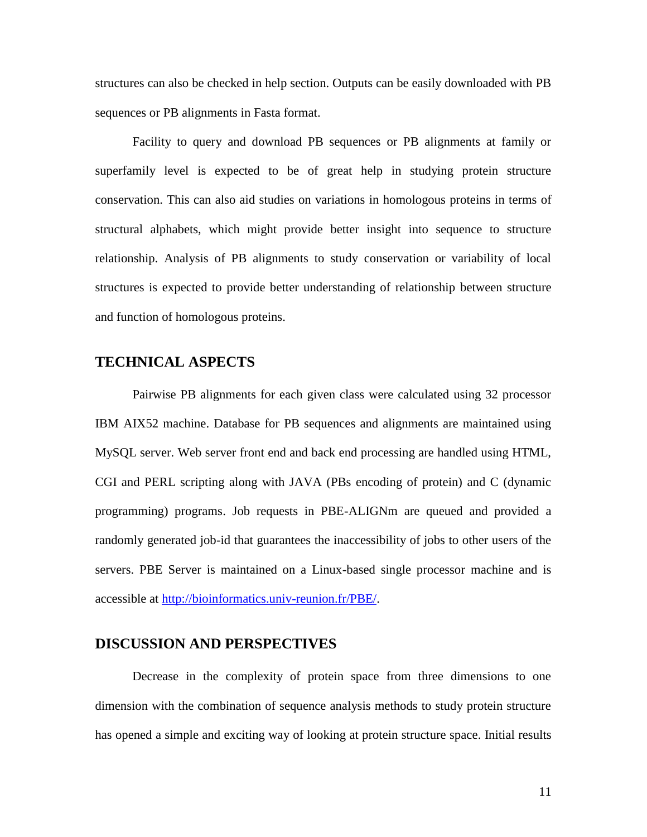structures can also be checked in help section. Outputs can be easily downloaded with PB sequences or PB alignments in Fasta format.

Facility to query and download PB sequences or PB alignments at family or superfamily level is expected to be of great help in studying protein structure conservation. This can also aid studies on variations in homologous proteins in terms of structural alphabets, which might provide better insight into sequence to structure relationship. Analysis of PB alignments to study conservation or variability of local structures is expected to provide better understanding of relationship between structure and function of homologous proteins.

### **TECHNICAL ASPECTS**

Pairwise PB alignments for each given class were calculated using 32 processor IBM AIX52 machine. Database for PB sequences and alignments are maintained using MySQL server. Web server front end and back end processing are handled using HTML, CGI and PERL scripting along with JAVA (PBs encoding of protein) and C (dynamic programming) programs. Job requests in PBE-ALIGNm are queued and provided a randomly generated job-id that guarantees the inaccessibility of jobs to other users of the servers. PBE Server is maintained on a Linux-based single processor machine and is accessible at [http://bioinformatics.univ-reunion.fr/PBE/.](http://bioinformatics.univ-reunion.fr/PBE/)

#### **DISCUSSION AND PERSPECTIVES**

Decrease in the complexity of protein space from three dimensions to one dimension with the combination of sequence analysis methods to study protein structure has opened a simple and exciting way of looking at protein structure space. Initial results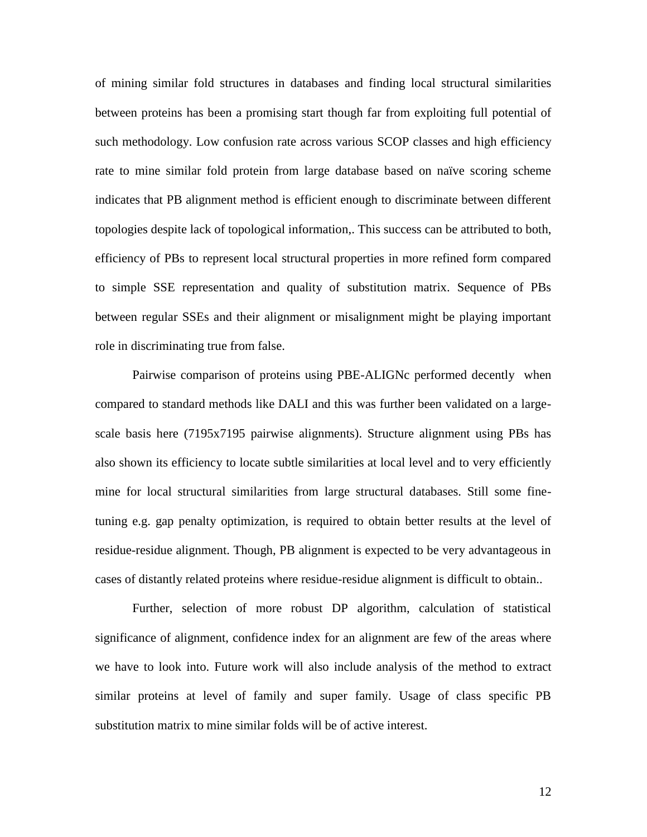of mining similar fold structures in databases and finding local structural similarities between proteins has been a promising start though far from exploiting full potential of such methodology. Low confusion rate across various SCOP classes and high efficiency rate to mine similar fold protein from large database based on naïve scoring scheme indicates that PB alignment method is efficient enough to discriminate between different topologies despite lack of topological information,. This success can be attributed to both, efficiency of PBs to represent local structural properties in more refined form compared to simple SSE representation and quality of substitution matrix. Sequence of PBs between regular SSEs and their alignment or misalignment might be playing important role in discriminating true from false.

Pairwise comparison of proteins using PBE-ALIGNc performed decently when compared to standard methods like DALI and this was further been validated on a largescale basis here (7195x7195 pairwise alignments). Structure alignment using PBs has also shown its efficiency to locate subtle similarities at local level and to very efficiently mine for local structural similarities from large structural databases. Still some finetuning e.g. gap penalty optimization, is required to obtain better results at the level of residue-residue alignment. Though, PB alignment is expected to be very advantageous in cases of distantly related proteins where residue-residue alignment is difficult to obtain..

Further, selection of more robust DP algorithm, calculation of statistical significance of alignment, confidence index for an alignment are few of the areas where we have to look into. Future work will also include analysis of the method to extract similar proteins at level of family and super family. Usage of class specific PB substitution matrix to mine similar folds will be of active interest.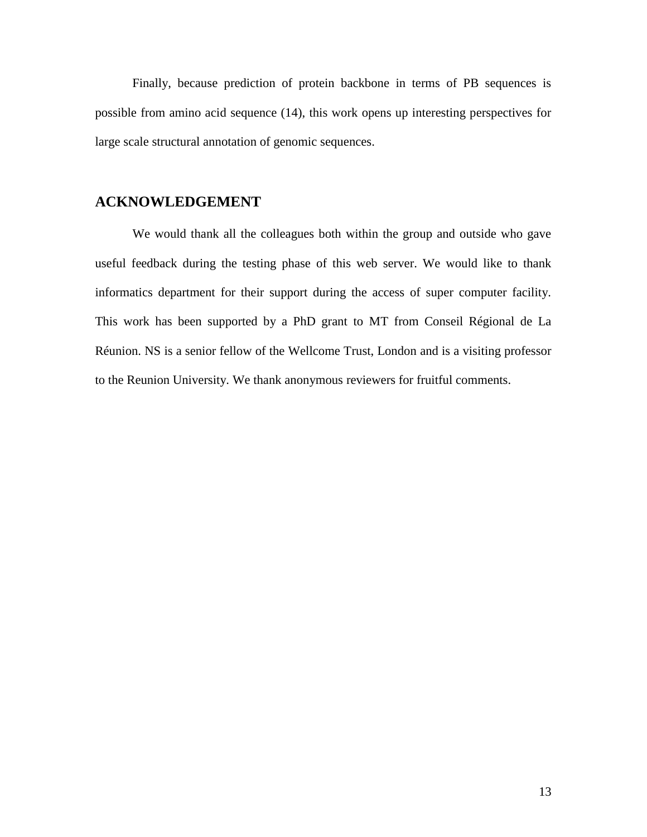Finally, because prediction of protein backbone in terms of PB sequences is possible from amino acid sequence (14), this work opens up interesting perspectives for large scale structural annotation of genomic sequences.

### **ACKNOWLEDGEMENT**

We would thank all the colleagues both within the group and outside who gave useful feedback during the testing phase of this web server. We would like to thank informatics department for their support during the access of super computer facility. This work has been supported by a PhD grant to MT from Conseil Régional de La Réunion. NS is a senior fellow of the Wellcome Trust, London and is a visiting professor to the Reunion University. We thank anonymous reviewers for fruitful comments.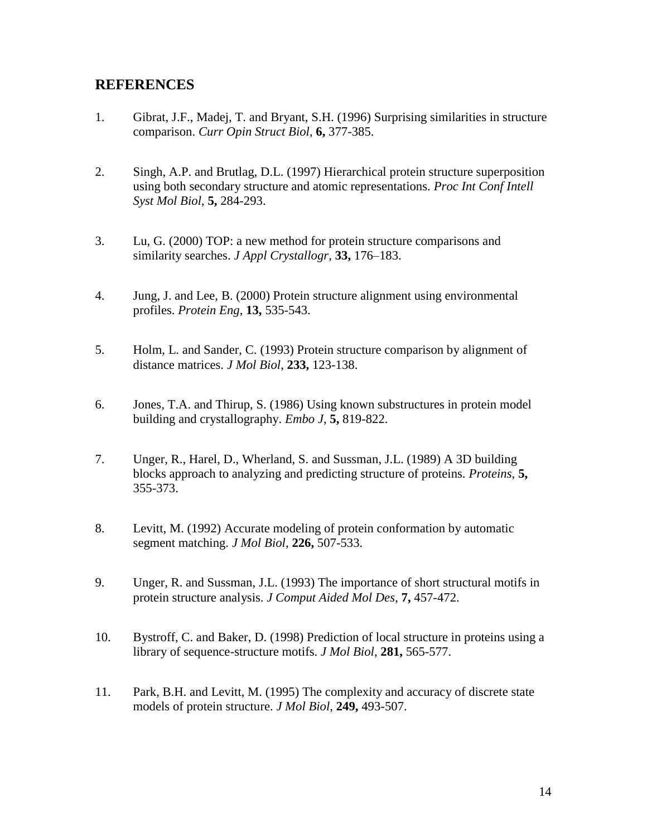### **REFERENCES**

- 1. Gibrat, J.F., Madej, T. and Bryant, S.H. (1996) Surprising similarities in structure comparison. *Curr Opin Struct Biol*, **6,** 377-385.
- 2. Singh, A.P. and Brutlag, D.L. (1997) Hierarchical protein structure superposition using both secondary structure and atomic representations. *Proc Int Conf Intell Syst Mol Biol*, **5,** 284-293.
- 3. Lu, G. (2000) TOP: a new method for protein structure comparisons and similarity searches. *J Appl Crystallogr*, **33,** 176–183.
- 4. Jung, J. and Lee, B. (2000) Protein structure alignment using environmental profiles. *Protein Eng*, **13,** 535-543.
- 5. Holm, L. and Sander, C. (1993) Protein structure comparison by alignment of distance matrices. *J Mol Biol*, **233,** 123-138.
- 6. Jones, T.A. and Thirup, S. (1986) Using known substructures in protein model building and crystallography. *Embo J*, **5,** 819-822.
- 7. Unger, R., Harel, D., Wherland, S. and Sussman, J.L. (1989) A 3D building blocks approach to analyzing and predicting structure of proteins. *Proteins*, **5,** 355-373.
- 8. Levitt, M. (1992) Accurate modeling of protein conformation by automatic segment matching. *J Mol Biol*, **226,** 507-533.
- 9. Unger, R. and Sussman, J.L. (1993) The importance of short structural motifs in protein structure analysis. *J Comput Aided Mol Des*, **7,** 457-472.
- 10. Bystroff, C. and Baker, D. (1998) Prediction of local structure in proteins using a library of sequence-structure motifs. *J Mol Biol*, **281,** 565-577.
- 11. Park, B.H. and Levitt, M. (1995) The complexity and accuracy of discrete state models of protein structure. *J Mol Biol*, **249,** 493-507.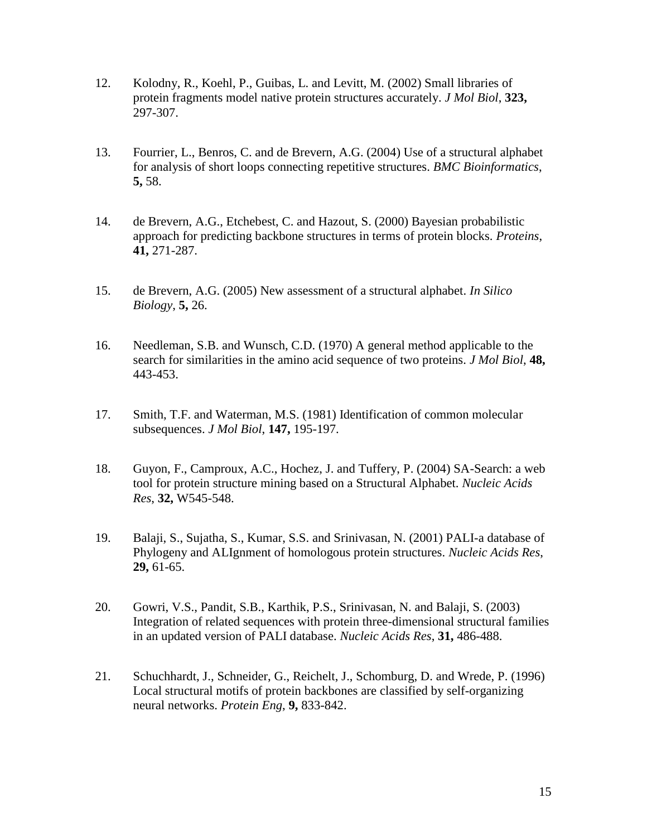- 12. Kolodny, R., Koehl, P., Guibas, L. and Levitt, M. (2002) Small libraries of protein fragments model native protein structures accurately. *J Mol Biol*, **323,** 297-307.
- 13. Fourrier, L., Benros, C. and de Brevern, A.G. (2004) Use of a structural alphabet for analysis of short loops connecting repetitive structures. *BMC Bioinformatics*, **5,** 58.
- 14. de Brevern, A.G., Etchebest, C. and Hazout, S. (2000) Bayesian probabilistic approach for predicting backbone structures in terms of protein blocks. *Proteins*, **41,** 271-287.
- 15. de Brevern, A.G. (2005) New assessment of a structural alphabet. *In Silico Biology*, **5,** 26.
- 16. Needleman, S.B. and Wunsch, C.D. (1970) A general method applicable to the search for similarities in the amino acid sequence of two proteins. *J Mol Biol*, **48,** 443-453.
- 17. Smith, T.F. and Waterman, M.S. (1981) Identification of common molecular subsequences. *J Mol Biol*, **147,** 195-197.
- 18. Guyon, F., Camproux, A.C., Hochez, J. and Tuffery, P. (2004) SA-Search: a web tool for protein structure mining based on a Structural Alphabet. *Nucleic Acids Res*, **32,** W545-548.
- 19. Balaji, S., Sujatha, S., Kumar, S.S. and Srinivasan, N. (2001) PALI-a database of Phylogeny and ALIgnment of homologous protein structures. *Nucleic Acids Res*, **29,** 61-65.
- 20. Gowri, V.S., Pandit, S.B., Karthik, P.S., Srinivasan, N. and Balaji, S. (2003) Integration of related sequences with protein three-dimensional structural families in an updated version of PALI database. *Nucleic Acids Res*, **31,** 486-488.
- 21. Schuchhardt, J., Schneider, G., Reichelt, J., Schomburg, D. and Wrede, P. (1996) Local structural motifs of protein backbones are classified by self-organizing neural networks. *Protein Eng*, **9,** 833-842.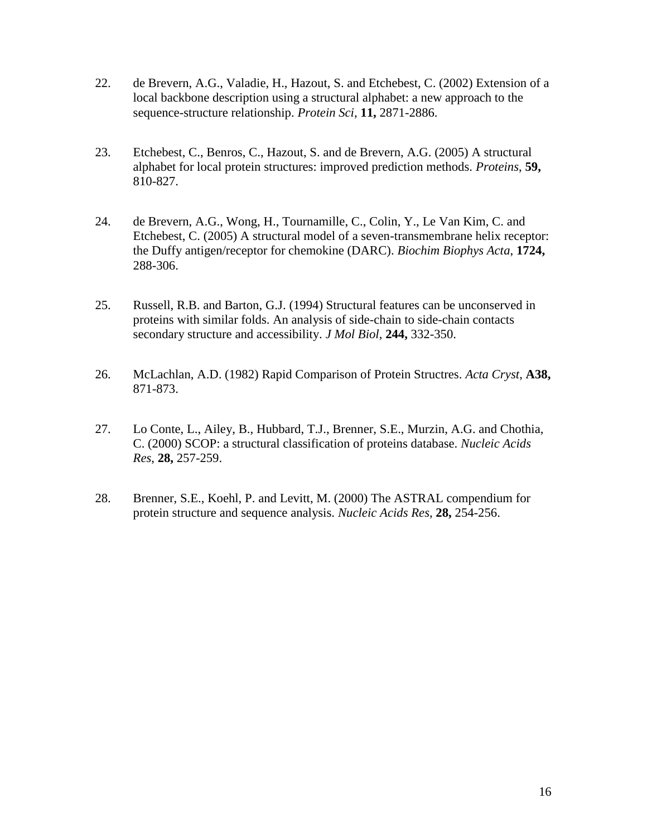- 22. de Brevern, A.G., Valadie, H., Hazout, S. and Etchebest, C. (2002) Extension of a local backbone description using a structural alphabet: a new approach to the sequence-structure relationship. *Protein Sci*, **11,** 2871-2886.
- 23. Etchebest, C., Benros, C., Hazout, S. and de Brevern, A.G. (2005) A structural alphabet for local protein structures: improved prediction methods. *Proteins*, **59,** 810-827.
- 24. de Brevern, A.G., Wong, H., Tournamille, C., Colin, Y., Le Van Kim, C. and Etchebest, C. (2005) A structural model of a seven-transmembrane helix receptor: the Duffy antigen/receptor for chemokine (DARC). *Biochim Biophys Acta*, **1724,** 288-306.
- 25. Russell, R.B. and Barton, G.J. (1994) Structural features can be unconserved in proteins with similar folds. An analysis of side-chain to side-chain contacts secondary structure and accessibility. *J Mol Biol*, **244,** 332-350.
- 26. McLachlan, A.D. (1982) Rapid Comparison of Protein Structres. *Acta Cryst*, **A38,** 871-873.
- 27. Lo Conte, L., Ailey, B., Hubbard, T.J., Brenner, S.E., Murzin, A.G. and Chothia, C. (2000) SCOP: a structural classification of proteins database. *Nucleic Acids Res*, **28,** 257-259.
- 28. Brenner, S.E., Koehl, P. and Levitt, M. (2000) The ASTRAL compendium for protein structure and sequence analysis. *Nucleic Acids Res*, **28,** 254-256.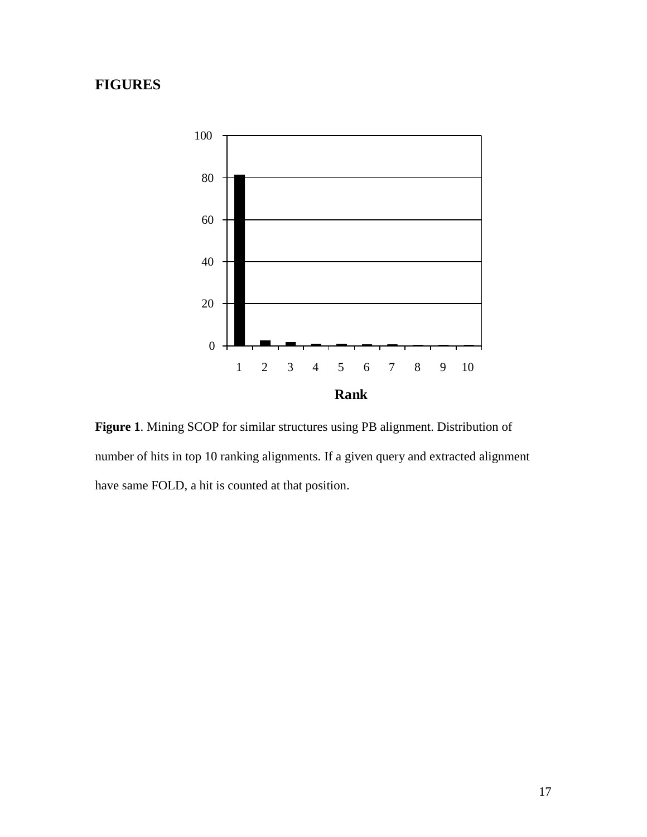### **FIGURES**



**Figure 1**. Mining SCOP for similar structures using PB alignment. Distribution of number of hits in top 10 ranking alignments. If a given query and extracted alignment have same FOLD, a hit is counted at that position.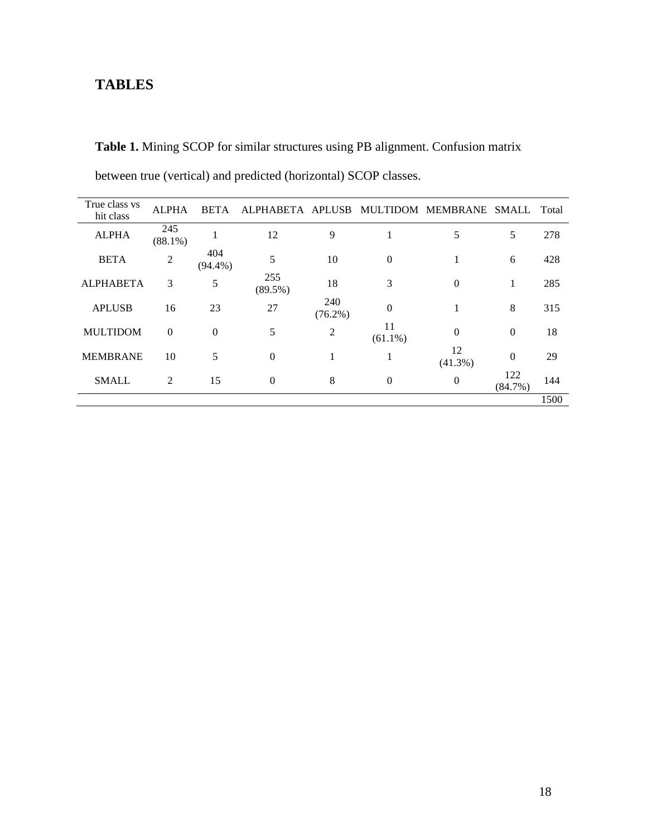### **TABLES**

**Table 1.** Mining SCOP for similar structures using PB alignment. Confusion matrix between true (vertical) and predicted (horizontal) SCOP classes.

| True class vs<br>hit class | <b>ALPHA</b>      | <b>BETA</b>       | ALPHABETA APLUSB  |                   |                  | MULTIDOM MEMBRANE SMALL |                   | Total |
|----------------------------|-------------------|-------------------|-------------------|-------------------|------------------|-------------------------|-------------------|-------|
| <b>ALPHA</b>               | 245<br>$(88.1\%)$ |                   | 12                | 9                 |                  | 5                       | 5                 | 278   |
| <b>BETA</b>                | $\overline{2}$    | 404<br>$(94.4\%)$ | 5                 | 10                | $\overline{0}$   | -1                      | 6                 | 428   |
| <b>ALPHABETA</b>           | 3                 | 5                 | 255<br>$(89.5\%)$ | 18                | 3                | $\Omega$                | 1                 | 285   |
| <b>APLUSB</b>              | 16                | 23                | 27                | 240<br>$(76.2\%)$ | $\overline{0}$   |                         | 8                 | 315   |
| <b>MULTIDOM</b>            | $\mathbf{0}$      | $\mathbf{0}$      | 5                 | $\overline{2}$    | 11<br>$(61.1\%)$ | $\overline{0}$          | $\boldsymbol{0}$  | 18    |
| <b>MEMBRANE</b>            | 10                | 5                 | $\Omega$          | 1                 |                  | 12<br>$(41.3\%)$        | $\overline{0}$    | 29    |
| <b>SMALL</b>               | $\overline{2}$    | 15                | $\mathbf{0}$      | 8                 | $\boldsymbol{0}$ | $\boldsymbol{0}$        | 122<br>$(84.7\%)$ | 144   |
|                            |                   |                   |                   |                   |                  |                         |                   | 1500  |